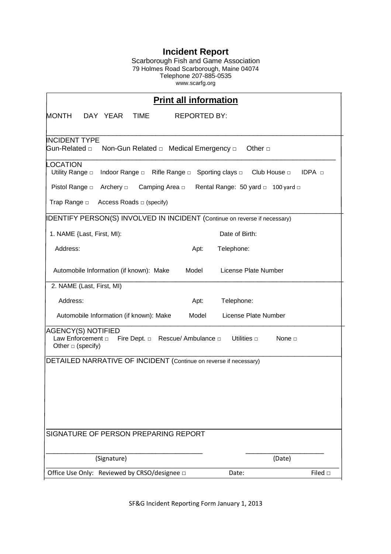## **Incident Report**

Scarborough Fish and Game Association 79 Holmes Road Scarborough, Maine 04074 Telephone 207-885-0535 www.scarfg.org

| <b>Print all information</b>                                                                                                                                                                                            |                          |
|-------------------------------------------------------------------------------------------------------------------------------------------------------------------------------------------------------------------------|--------------------------|
| MONTH<br>DAY YEAR<br><b>TIME</b><br><b>REPORTED BY:</b>                                                                                                                                                                 |                          |
| <b>NCIDENT TYPE</b><br>Gun-Related □<br>Non-Gun Related □ Medical Emergency □<br>Other $\Box$                                                                                                                           |                          |
| <b>OCATION</b><br>Utility Range D<br>Indoor Range □ Rifle Range □<br>Sporting clays □ Club House □ IDPA □<br>Pistol Range $\square$<br>Archery $\Box$<br>Camping Area □<br>Rental Range: 50 yard $\Box$ 100 yard $\Box$ |                          |
| Trap Range $\square$<br>Access Roads □ (specify)                                                                                                                                                                        |                          |
| IDENTIFY PERSON(S) INVOLVED IN INCIDENT (Continue on reverse if necessary)                                                                                                                                              |                          |
| 1. NAME {Last, First, MI):                                                                                                                                                                                              | Date of Birth:           |
| Address:<br>Apt:                                                                                                                                                                                                        | Telephone:               |
| Automobile Information (if known): Make<br>Model<br>License Plate Number                                                                                                                                                |                          |
| 2. NAME (Last, First, MI)                                                                                                                                                                                               |                          |
| Address:<br>Apt:                                                                                                                                                                                                        | Telephone:               |
| License Plate Number<br>Automobile Information (if known): Make<br>Model                                                                                                                                                |                          |
| <b>AGENCY(S) NOTIFIED</b><br>Law Enforcement $\Box$ Fire Dept. $\Box$ Rescue/ Ambulance $\Box$<br>Utilities $\Box$<br>None $\Box$<br>Other $\Box$ (specify)                                                             |                          |
| DETAILED NARRATIVE OF INCIDENT (Continue on reverse if necessary)                                                                                                                                                       |                          |
|                                                                                                                                                                                                                         |                          |
|                                                                                                                                                                                                                         |                          |
|                                                                                                                                                                                                                         |                          |
|                                                                                                                                                                                                                         |                          |
| SIGNATURE OF PERSON PREPARING REPORT                                                                                                                                                                                    |                          |
| (Signature)                                                                                                                                                                                                             | (Date)                   |
| Office Use Only: Reviewed by CRSO/designee □                                                                                                                                                                            | Filed $\square$<br>Date: |

SF&G Incident Reporting Form January 1, 2013